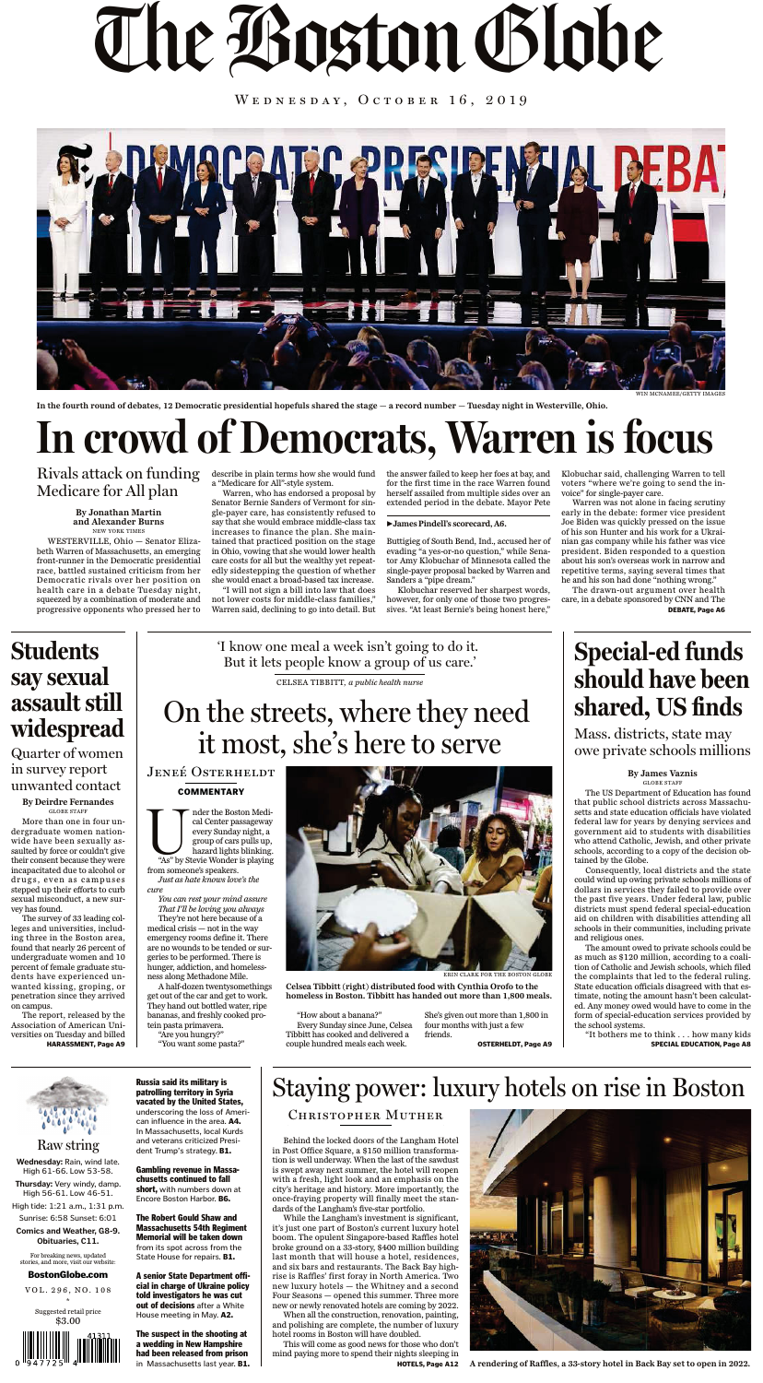The Boston Globe

WEDNESDAY, OCTOBER 16, 2019

Russia said its military is patrolling territory in Syria vacated by the United States, underscoring the loss of American influence in the area. A4. In Massachusetts, local Kurds and veterans criticized President Trump's strategy. B1.

Gambling revenue in Massachusetts continued to fall short, with numbers down at Encore Boston Harbor. B6.

The suspect in the shooting at a wedding in New Hampshire had been released from prison in Massachusetts last year. B1.

The Robert Gould Shaw and Massachusetts 54th Regiment Memorial will be taken down from its spot across from the State House for repairs. B1.

A senior State Department official in charge of Ukraine policy told investigators he was cut out of decisions after a White House meeting in May. A2.

For breaking news, updated stories, and more, visit our website:

BostonGlobe.com VOL. 296, NO. 108

\* Suggested retail price \$3.00



#### **By James Vaznis** 'I know one meal a week isn't going to do it. But it lets people know a group of us care.' CELSEA TIBBITT, *a public health nurse* Students say sexual assault still widespread Quarter of women in survey report Special-ed funds should have been shared, US finds Mass. districts, state may owe private schools millions On the streets, where they need it most, she's here to serve JENEÉ OSTERHELDT



**Wednesday:** Rain, wind late. High 61-66. Low 53-58. **Thursday:** Very windy, damp. High 56-61. Low 46-51. High tide: 1:21 a.m., 1:31 p.m. Sunrise: 6:58 Sunset: 6:01 **Comics and Weather, G8-9. Obituaries, C11.**

### Raw string

#### **By Deirdre Fernandes** GLOBE STAFF

More than one in four undergraduate women nationwide have been sexually assaulted by force or couldn't give their consent because they were incapacitated due to alcohol or drugs, even as campuses stepped up their efforts to curb sexual misconduct, a new survey has found.

The survey of 33 leading colleges and universities, including three in the Boston area, found that nearly 26 percent of undergraduate women and 10 percent of female graduate students have experienced unwanted kissing, groping, or penetration since they arrived on campus.

mder the Boston Medical Center passageway<br>
every Sunday night, a<br>
group of cars pulls up,<br>
hazard lights blinking.<br>
"As" by Stevie Wonder is playing cal Center passageway every Sunday night, a group of cars pulls up, hazard lights blinking. from someone's speakers. *Just as hate knows love's the*

The report, released by the Association of American Universities on Tuesday and billed HARASSMENT, Page A9

GLOBE STAFF The US Department of Education has found that public school districts across Massachusetts and state education officials have violated federal law for years by denying services and government aid to students with disabilities who attend Catholic, Jewish, and other private schools, according to a copy of the decision obtained by the Globe. Consequently, local districts and the state could wind up owing private schools millions of dollars in services they failed to provide over the past five years. Under federal law, public districts must spend federal special-education aid on children with disabilities attending all schools in their communities, including private and religious ones. The amount owed to private schools could be as much as \$120 million, according to a coalition of Catholic and Jewish schools, which filed the complaints that led to the federal ruling. State education officials disagreed with that estimate, noting the amount hasn't been calculated. Any money owed would have to come in the form of special-education services provided by the school systems.

"It bothers me to think . . . how many kids SPECIAL EDUCATION, Page A8



*cure*

*You can rest your mind assure That I'll be loving you always*

They're not here because of a medical crisis — not in the way emergency rooms define it. There are no wounds to be tended or surgeries to be performed. There is hunger, addiction, and homelessness along Methadone Mile.

A half-dozen twentysomethings get out of the car and get to work. They hand out bottled water, ripe bananas, and freshly cooked protein pasta primavera.

"Are you hungry?"

"You want some pasta?"

"How about a banana?" Every Sunday since June, Celsea Tibbitt has cooked and delivered a couple hundred meals each week.

She's given out more than 1,800 in four months with just a few friends.

OSTERHELDT, Page A9

Behind the locked doors of the Langham Hotel in Post Office Square, a \$150 million transformation is well underway. When the last of the sawdust is swept away next summer, the hotel will reopen with a fresh, light look and an emphasis on the city's heritage and history. More importantly, the once-fraying property will finally meet the standards of the Langham's five-star portfolio.

While the Langham's investment is significant, it's just one part of Boston's current luxury hotel boom. The opulent Singapore-based Raffles hotel broke ground on a 33-story, \$400 million building last month that will house a hotel, residences, and six bars and restaurants. The Back Bay highrise is Raffles' first foray in North America. Two new luxury hotels — the Whitney and a second Four Seasons — opened this summer. Three more new or newly renovated hotels are coming by 2022.

When all the construction, renovation, painting, and polishing are complete, the number of luxury hotel rooms in Boston will have doubled.

This will come as good news for those who don't mind paying more to spend their nights sleeping in



HOTELS, Page A12 **A rendering of Raffles, a 33-story hotel in Back Bay set to open in 2022.**

unwanted contact

ERIN CLARK FOR THE BOSTON GLOBE

**Celsea Tibbitt (right) distributed food with Cynthia Orofo to the homeless in Boston. Tibbitt has handed out more than 1,800 meals.**

# Staying power: luxury hotels on rise in Boston

#### Christopher Muther

#### **By Jonathan Martin and Alexander Burns** NEW YORK TIMES

WESTERVILLE, Ohio — Senator Elizabeth Warren of Massachusetts, an emerging front-runner in the Democratic presidential race, battled sustained criticism from her Democratic rivals over her position on health care in a debate Tuesday night, squeezed by a combination of moderate and progressive opponents who pressed her to

describe in plain terms how she would fund a "Medicare for All"-style system.

Warren, who has endorsed a proposal by Senator Bernie Sanders of Vermont for single-payer care, has consistently refused to say that she would embrace middle-class tax increases to finance the plan. She maintained that practiced position on the stage in Ohio, vowing that she would lower health care costs for all but the wealthy yet repeatedly sidestepping the question of whether she would enact a broad-based tax increase.

"I will not sign a bill into law that does not lower costs for middle-class families," Warren said, declining to go into detail. But

the answer failed to keep her foes at bay, and Klobuchar said, challenging Warren to tell for the first time in the race Warren found herself assailed from multiple sides over an extended period in the debate. Mayor Pete

Buttigieg of South Bend, Ind., accused her of evading "a yes-or-no question," while Senator Amy Klobuchar of Minnesota called the single-payer proposal backed by Warren and Sanders a "pipe dream."

Klobuchar reserved her sharpest words, however, for only one of those two progressives. "At least Bernie's being honest here," voters "where we're going to send the invoice" for single-payer care.

Warren was not alone in facing scrutiny early in the debate: former vice president Joe Biden was quickly pressed on the issue of his son Hunter and his work for a Ukrainian gas company while his father was vice president. Biden responded to a question about his son's overseas work in narrow and repetitive terms, saying several times that he and his son had done "nothing wrong."

The drawn-out argument over health care, in a debate sponsored by CNN and The DEBATE, Page A6

# In crowd of Democrats, Warren is focus

### Rivals attack on funding Medicare for All plan



**In the fourth round of debates, 12 Democratic presidential hopefuls shared the stage — a record number — Tuesday night in Westerville, Ohio.**

#### **ºJames Pindell's scorecard, A6.**